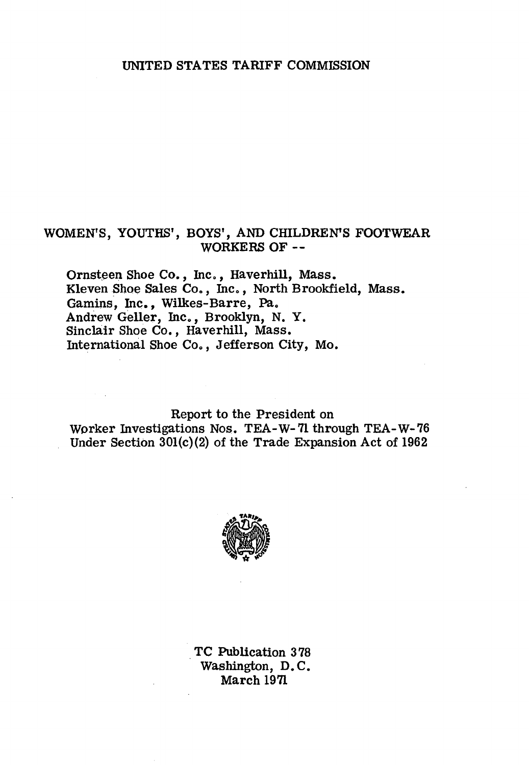## UNITED STATES TARIFF COMMISSION

# WOMEN'S, YOUTHS', BOYS', AND CHILDREN'S FOOTWEAR WORKERS OF --

Ornsteen Shoe Co., Inc., Haverhill, Mass. Kleven Shoe Sales Co., Inc., North Brookfield, Mass. Gamins, Inc., Wilkes-Barre, Pa. Andrew Geller, Inc., Brooklyn, N. Y. Sinclair Shoe Co., Haverhill, Mass. International Shoe Co. , Jefferson City, Mo.

## Report to the President on Worker Investigations Nos. TEA-W- 71 through TEA-W- 76 Under Section 301(c)(2) of the Trade Expansion Act of 1962



TC Publication 3 78 Washington, D. C. March 1971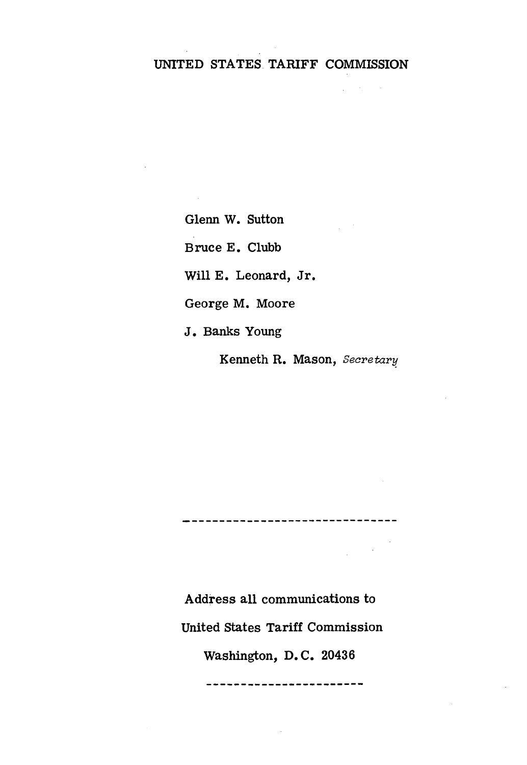# UNITED STATES. TARIFF COMMISSION

 $\sim$ 

Glenn W. Sutton

Bruce E. Clubb

Will E. Leonard, Jr.

George M. Moore

J. Banks Young

Kenneth R. Mason, *Secretary* 

Address all communications to United states Tariff Commission

-----------------------------

Washington, D. C. 20436

----------------------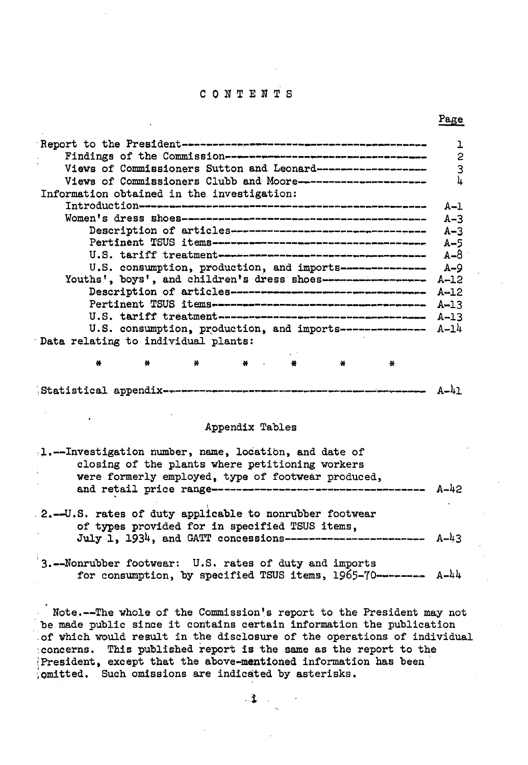## C 0 N T E N T S

 $\mathbf{I}$  $\mathcal{L}$ 

Page

Report to the President----------------------------

|                                            |    |                  |                                                                                             |           |                                                              | 2        |
|--------------------------------------------|----|------------------|---------------------------------------------------------------------------------------------|-----------|--------------------------------------------------------------|----------|
|                                            |    |                  |                                                                                             |           | Views of Commissioners Sutton and Leonard-----------------   | 3        |
|                                            |    |                  |                                                                                             |           | Views of Commissioners Clubb and Moore--------------------   | 4        |
| Information obtained in the investigation: |    |                  |                                                                                             |           |                                                              |          |
|                                            |    |                  |                                                                                             |           |                                                              | $A-1$    |
|                                            |    |                  |                                                                                             |           |                                                              | $A - 3$  |
|                                            |    |                  |                                                                                             |           | Description of articles--------------------------------      | $A - 3$  |
|                                            |    |                  |                                                                                             |           |                                                              | $A-5$    |
|                                            |    |                  |                                                                                             |           |                                                              | $A - 8$  |
|                                            |    |                  |                                                                                             |           | U.S. consumption, production, and imports--------------      | $A - 9$  |
|                                            |    |                  |                                                                                             |           | Youths', boys', and children's dress shoes------------------ | $A-12$   |
|                                            |    |                  |                                                                                             |           | Description of articles---------------------------------     | $A-12$   |
|                                            |    |                  |                                                                                             |           |                                                              | $A - 13$ |
|                                            |    |                  |                                                                                             |           |                                                              | $A-13$   |
|                                            |    |                  |                                                                                             |           | U.S. consumption, production, and imports-------------- A-14 |          |
| Data relating to individual plants:        |    |                  |                                                                                             |           |                                                              |          |
| ₩                                          | ÷. | $\frac{11}{200}$ | $\begin{array}{cccccccccccccc} \mathcal{H} & & & & \mathcal{H} & & \mathcal{H} \end{array}$ | $\bullet$ | as.                                                          |          |
|                                            |    |                  |                                                                                             |           |                                                              |          |
|                                            |    |                  |                                                                                             |           |                                                              | $A-41$   |
|                                            |    |                  |                                                                                             |           |                                                              |          |
|                                            |    |                  |                                                                                             |           |                                                              |          |
|                                            |    |                  |                                                                                             |           |                                                              |          |

## Appendix Tables

| 1.--Investigation number, name, location, and date of<br>closing of the plants where petitioning workers<br>were formerly employed, type of footwear produced,                           |          |
|------------------------------------------------------------------------------------------------------------------------------------------------------------------------------------------|----------|
| $\mathcal{L}^{\text{max}}$<br>and retail price range-----------------------------------                                                                                                  | $A-42$   |
| 2.--U.S. rates of duty applicable to nonrubber footwear<br>of types provided for in specified TSUS items,<br>$\mathcal{L}$<br>July 1, 1934, and GATT concessions------------------------ | $A - 43$ |
| 3.--Nonrubber footwear: U.S. rates of duty and imports                                                                                                                                   |          |

for consumption, by specified TSUS items, 1965-70--------- A-44

Note.--The whole of the Commission's report to the President may not be made public since it contains certain information the publication .of vhich would result in the disclosure of the operations of individual concerns. This published report is the same as the report to the President, except that the above-mentioned information has been : omitted. Such omissions are indicated by asterisks.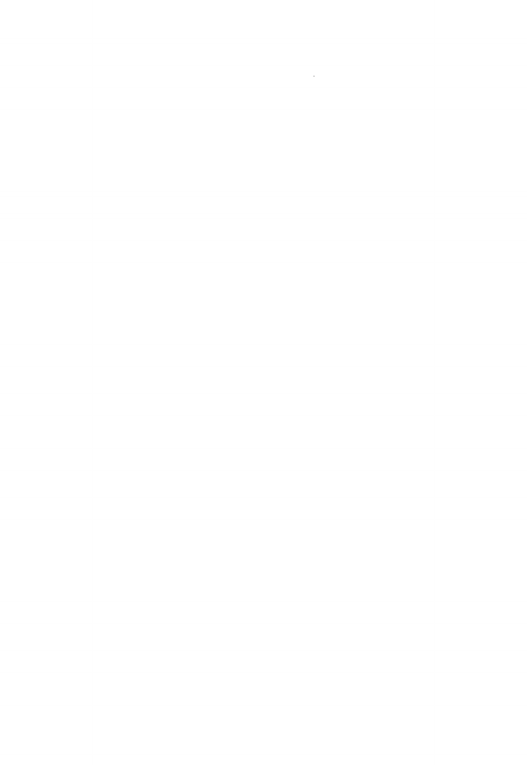$\label{eq:2.1} \mathcal{L}(\mathcal{L}^{\text{max}}_{\mathcal{L}}(\mathcal{L}^{\text{max}}_{\mathcal{L}})) \leq \mathcal{L}(\mathcal{L}^{\text{max}}_{\mathcal{L}}(\mathcal{L}^{\text{max}}_{\mathcal{L}}))$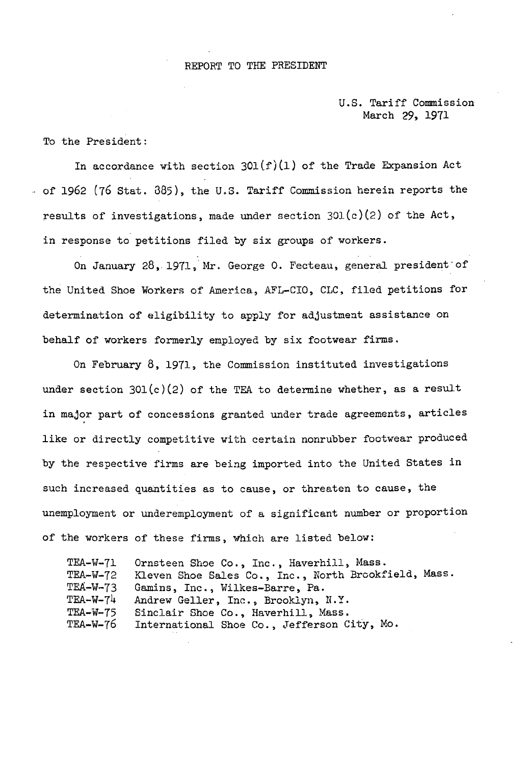### REPORT TO THE PRESIDENT

### U.S. Tariff Commission March 29, 1971

To the President:

In accordance with section  $301(f)(1)$  of the Trade Expansion Act of 1962 (76 Stat. 385), the U.S. Tariff Commission herein reports the results of investigations, made under section  $301(c)(2)$  of the Act, in response to petitions filed by six groups of workers.

On January 28, 1971, Mr. George O. Fecteau, general president·of the United Shoe Workers of America, AFL-CIO, CLC, filed petitions for determination of eligibility to apply for adjustment assistance on behalf of workers formerly employed by six footwear firms.

On February 8, 1971, the Commission instituted investigations under section  $301(c)(2)$  of the TEA to determine whether, as a result in major part of concessions granted under trade agreements, articles like or directly competitive with certain nonrubber footwear produced by the respective firms are being imported into the United States in such increased quantities as to cause, or threaten to cause, the unemployment or underemployment of a significant number or proportion of the workers of these firms, which are listed below:

| <b>TEA-W-71</b> | Ornsteen Shoe Co., Inc., Haverhill, Mass.            |
|-----------------|------------------------------------------------------|
| <b>TEA-W-72</b> | Kleven Shoe Sales Co., Inc., North Brookfield, Mass. |
| <b>TEA-W-73</b> | Gamins, Inc., Wilkes-Barre, Pa.                      |
| TEA-W-74        | Andrew Geller, Inc., Brooklyn, N.Y.                  |
| <b>TEA-W-75</b> | Sinclair Shoe Co., Haverhill, Mass.                  |
| TEA-W-76        | International Shoe Co., Jefferson City, Mo.          |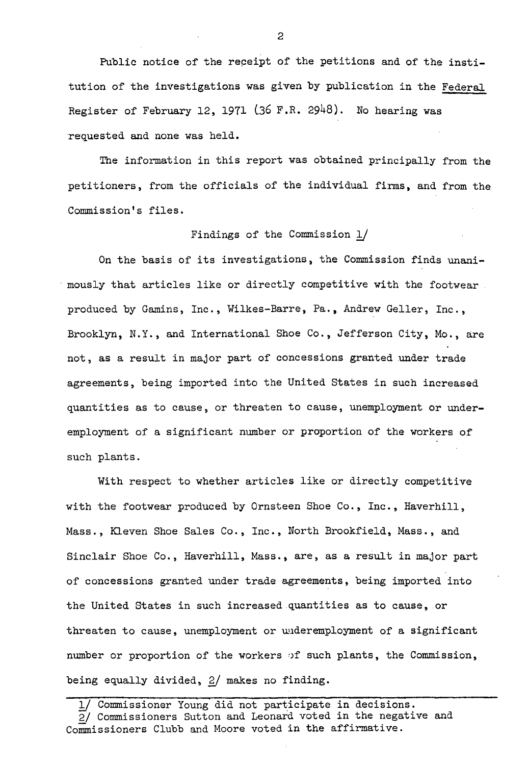Public notice of the receipt of the petitions and of the institution of the investigations was given by publication in the Federal Register of February 12, 1971 (36 F.R. 2948). No hearing was requested and none was held.

The information in this report was obtained principally from the petitioners, from the officials of the individual firms, and from the Commission's files.

### Findings of the Commission *!J*

On the basis of its investigations, the Commission finds unani mously that articles like or directly competitive with the footwear produced by Gamins, Inc., Wilkes-Barre, Pa., Andrew Geller, Inc., Brooklyn, N.Y., and International Shoe Co., Jefferson City, Mo., are not, as a result in major part of concessions granted under trade agreements, being imported into the United States in such increased quantities as to cause, or threaten to cause, unemployment or underemployment of a significant number or proportion of the workers of such plants.

With respect to whether articles like or directly competitive with the footwear produced by Ornsteen Shoe Co., Inc., Haverhill, Mass., Kleven Shoe Sales Co., Inc., North Brookfield, Mass., and Sinclair Shoe Co., Haverhill, Mass., are, as a result in major part of concessions granted under trade agreements, being imported into the United States in such increased quantities as to cause, or threaten to cause, unemployment or underemployment of a significant number or proportion of the workers ')f such plants, the Commission, being equally divided, 2/ makes no finding.

<sup>1/</sup> Commissioner Young did not participate in decisions. 2/ Commissioners Sutton and Leonard voted in the negative and Commissioners Clubb and Moore voted in the affirmative.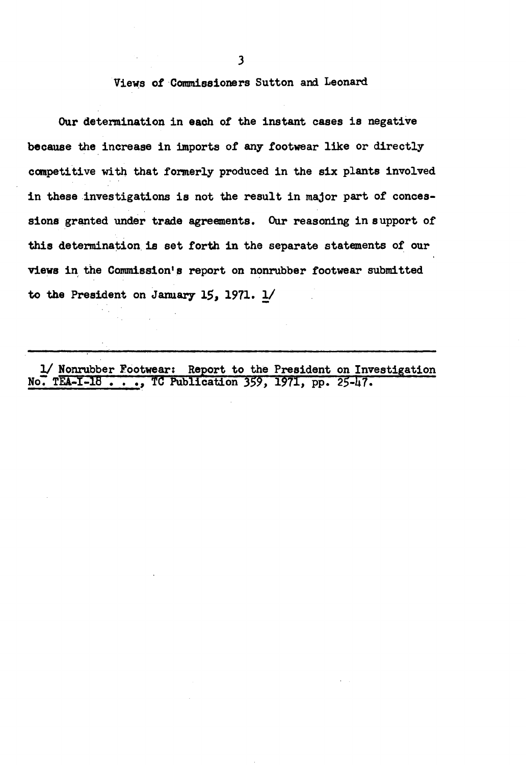Views of Commissioners Sutton and Leonard

Our determination in each of the instant cases is negative because the increase in imports of any footwear like or directly canpetitive with that formerly produced in the six plants involved in these investigations is not the result in major part of concessions granted under trade agreements. Our reasoning in support of this determination is set forth in the separate statements of our views in, the Commission's report on nonrubber footwear submitted to the President on January  $15$ , 1971.  $1/$ 

l/ Nonrubber Footwear: Report to the President on Investigation No7 TEI-!-18 ••• ,, TC Publication *359,* 1971, pp. 25-47.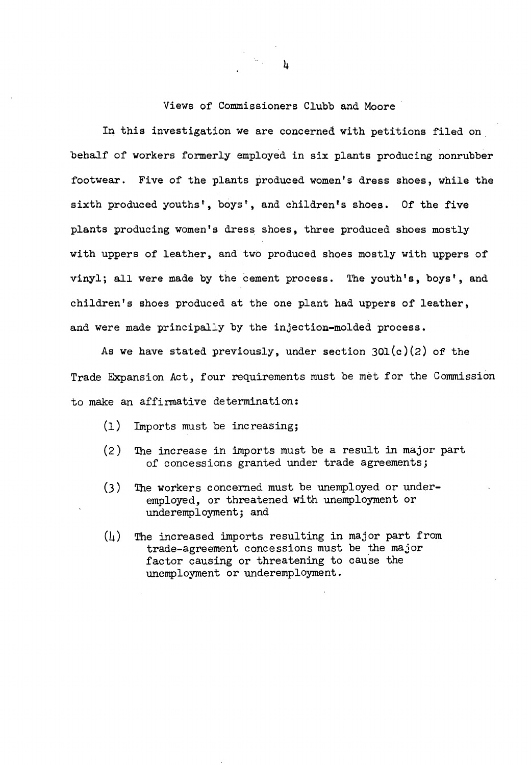### Views of Commissioners Clubb and Moore

In this investigation we are concerned with petitions filed on behalf of workers formerly employed in six plants producing nonrubber footwear. Five of the plants produced women's dress shoes, while the sixth produced youths', boys', and children's shoes. Of the five plants producing women's dress shoes, three produced shoes mostly with uppers of leather, and two produced shoes mostly with uppers of vinyl; all were made by the cement process. The youth's, boys', and children's shoes produced at the one plant had uppers of leather, and were made principally by the injection-molded process.

As we have stated previously, under section 30l(c)(2) *of* the Trade Expansion Act, four requirements must be met for the Commission to make an affirmative determination:

- (1) Imports must be increasing;
- (2) 'Ihe increase in imports must be a result in major part of concessions granted under trade agreements;
- (3) The workers concerned must be unemployed or underemployed, or threatened with unemployment or underemployment; and
- $(h)$  The increased imports resulting in major part from trade-agreement concessions must be the major factor causing or threatening to cause the unemployment or underemployment.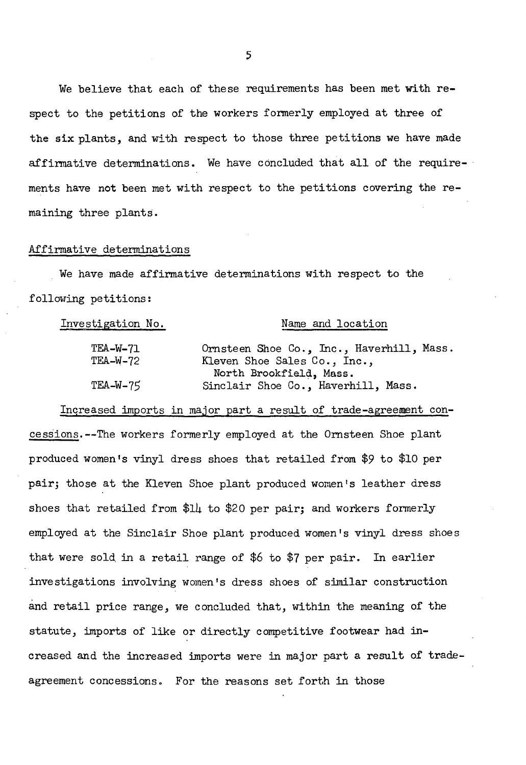We believe that each of these requirements has been met with respect to the petitions of the workers fonnerly employed at three of the six plants, and with respect to those three petitions we have made affinnative determinations. We have concluded that all of the require-· ments have not been met with respect to the petitions covering the remaining three plants.

### Affirmative determinations

We have made affirmative determinations with respect to the following petitions:

| Investigation No. | Name and location                                       |
|-------------------|---------------------------------------------------------|
| TEA-W-71          | Ornsteen Shoe Co., Inc., Haverhill, Mass.               |
| TEA-W-72          | Kleven Shoe Sales Co., Inc.,<br>North Brookfield, Mass. |
| TEA-W-75          | Sinclair Shoe Co., Haverhill, Mass.                     |

Inqreased imports in major part a result of trade-agreement concessions. --The workers formerly employed at the Ornsteen Shoe plant produced women's vinyl dress shoes that retailed from *\$9* to \$10 per pair; those at the Kleven Shoe plant produced women's leather dress shoes that retailed from \$14 to \$20 per pair; and workers formerly employed at the Sinclair Shoe plant produced women's vinyl dress shoes that were sold in a retail range of \$6 to \$7 per pair. In earlier investigations involving women's dress shoes of similar construction and retail price range, we concluded that, within the meaning of the statute, imports of like or directly competitive footwear had increased and the increased imports were in major part a result of tradeagreement concessions. For the reasons set forth in those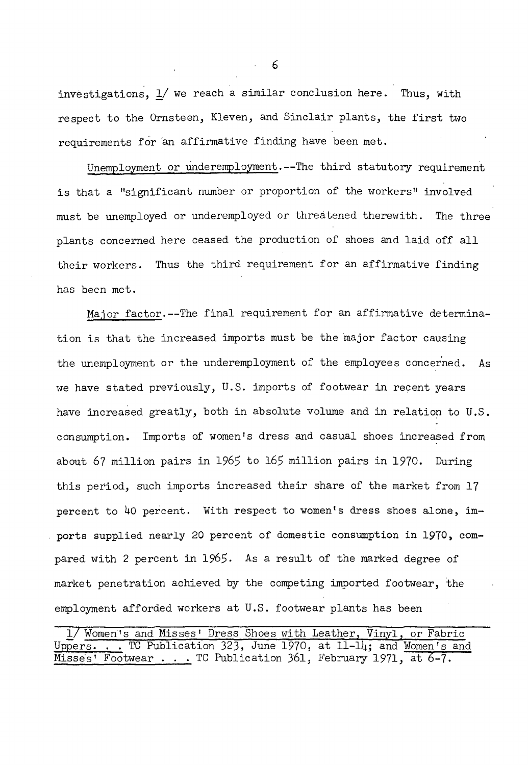investigations, 1/ we reach a similar conclusion here. Thus, with respect to the Ornsteen, Kleven, and Sinclair plants, the first two requirements for an affirmative finding have been met.

Unemployment or underemployment.--The third statutory requirement is that a "significant number or proportion of the workers" involved must be unemployed or underemployed or threatened therewith. The three plants concerned here ceased the production of shoes and laid off all their workers. Thus the third requirement for an affirmative finding has been met.

Major factor.--The final requirement for an affirmative determination is that the increased imports must be the major factor causing the unemployment or the underemployment of the employees concerned. As we have stated previously, U.S. imports of footwear in recent years have increased greatly, both in absolute volume and in relation to U.S. consumption. Imports of women's dress and casual shoes increased from about 67 million pairs in 1965 to 165 million pairs in 1970. During this period, such imports increased their share of the market from 17 percent to 40 percent. With respect to women's dress shoes alone, imports supplied nearly 20 percent of domestic consumption in 1970, compared with 2 percent in 1965. As a result of the marked degree of market penetration achieved by the competing imported footwear, 'the employment afforded workers at U.S. footwear plants has been

1/ Women's and Misses' Dress Shoes with Leather, Vinyl, or Fabric 1/ Women's and Misses' Dress Shoes with Leather, Vinyl, or Fabric<br>Uppers... TC Publication 323, June 1970, at 11-14; and Women's and Uppers... TC Publication 323, June 1970, at 11-14; and Momen's Misses' Footwear ... TC Publication 361, February 1971, at 6-7.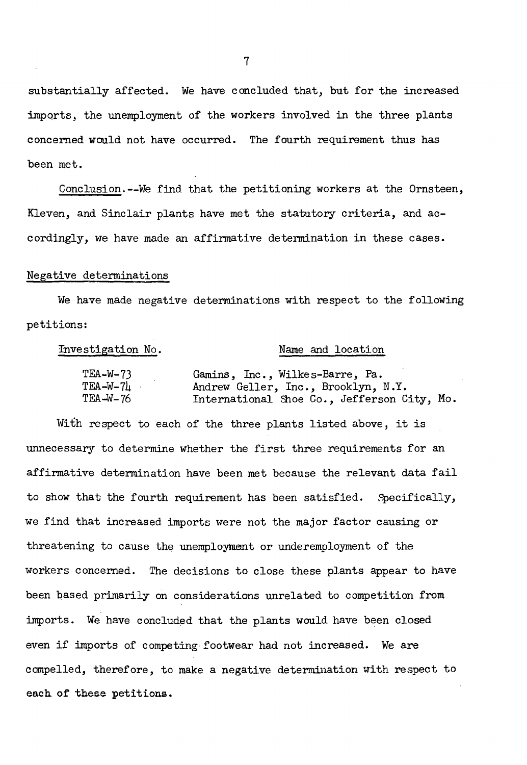substantially affected. We have concluded that, but for the increased imports, the unemployment of the workers involved in the three plants concerned would not have occurred. The fourth requirement thus has been met.

Conclusion.--We find that the petitioning workers at the Ornsteen, Kleven, and Sinclair plants have met the statutory criteria, and accordingly, we have made an affirmative determination in these cases.

### Negative determinations

We have made negative determinations with respect to the following petitions:

| Investigation No.      | Name and location                                                      |
|------------------------|------------------------------------------------------------------------|
| TEA-W-73<br>$TEA-W-7L$ | Gamins, Inc., Wilkes-Barre, Pa.<br>Andrew Geller, Inc., Brooklyn, N.Y. |
| TEA-W-76               | International Shoe Co., Jefferson City, Mo.                            |

With respect to each of the three plants listed above, it is unnecessary to determine whether the first three requirements for an affirmative determination have been met because the relevant data fail to show that the fourth requirement has been satisfied. Specifically, we find that increased imports were not the major factor causing or threatening to cause the unemployment or underemployment of the workers concerned. The decisions to close these plants appear to have been based primarily on considerations unrelated to competition from imports. We have concluded that the plants would have been closed even if imports of competing footwear had not increased. We are compelled, therefore, to make a negative determination with respect to each of these petitions.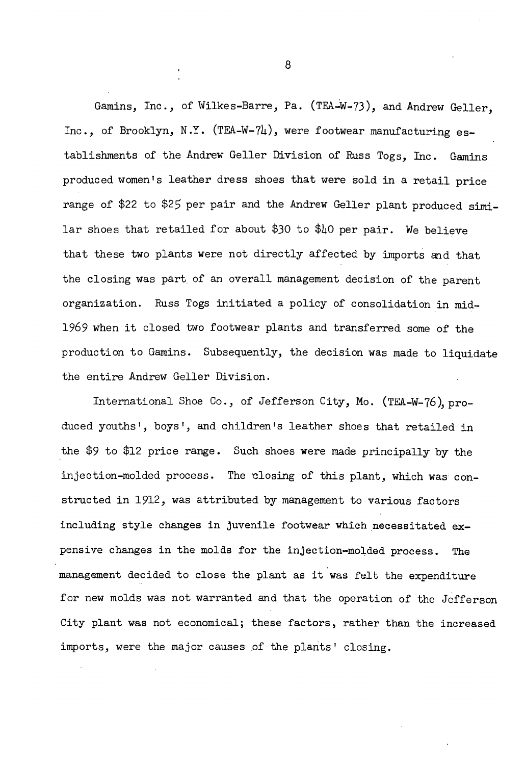Gamins, Inc., of Wilkes-Barre, Pa. (TEA-W-73), and Andrew Geller, Inc., of Brooklyn, N.Y. (TEA-W-74), were footwear manufacturing establishments of the Andrew Geller Division of Russ Togs, Inc. Gamins produced women's leather dress shoes that were sold in a retail price range of \$22 to \$25 per pair and the Andrew Geller plant produced similar shoes that retailed for about \$30 to \$40 per pair. We believe that these two plants were not directly affected by imports and that the closing was part of an overall management decision of the parent organization. Russ Togs initiated a policy of consolidation in mid-1969 when it closed two footwear plants and transferred some of the production to Gamins. Subsequently, the decision was made to liquidate the entire Andrew Geller Division.

International Shoe Co., of Jefferson City, Mo. (TEA-W-76), produced youths', boys', and children's leather shoes that retailed in the \$9 to \$12 price range. Such shoes were made principally by the injection-molded process. The closing of this plant, which was constructed in 1912, was attributed by management to various factors including style changes in juvenile footwear which necessitated expensive changes in the molds for the injection-molded process. The management decided to close the plant as it was felt the expenditure for new molds was not warranted and that the operation of the Jefferson City plant was not economical; these factors, rather than the increased imports, were the major causes of the plants' closing.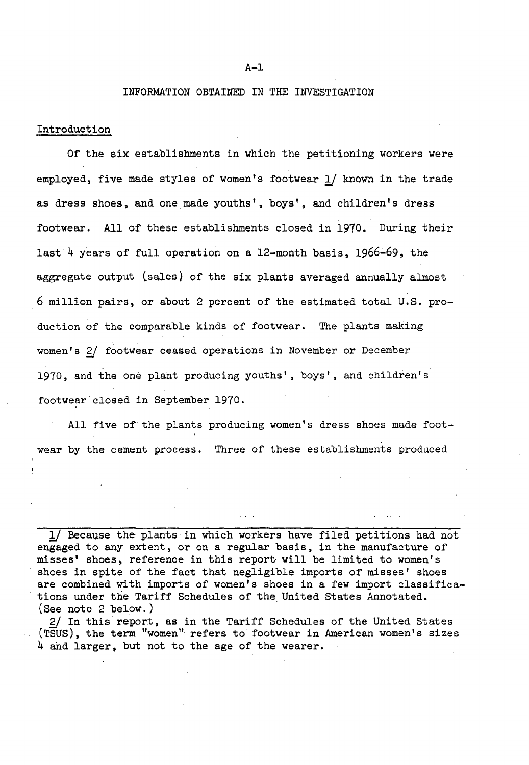## INFORMATION OBTAINED IN THE INVESTIGATION

### Introduction

Of the six establishments in which the petitioning workers were employed, five made styles of women's footwear 1/ known in the trade as dress shoes, and one made youths', boys', and children's dress footwear. All of these establishments closed in 1970. During their last 4 years of full operation on a 12-month basis, 1966-69, the aggregate output (sales) of the six plants averaged annually almost 6 million pairs, or about 2 percent of the estimated total U.S. production of the comparable kinds of footwear. The plants making women's 2/ footwear ceased operations in November or December 1970, and the one plant producing youths', boys', and children's footwear closed in September 1970.

All five of the plants producing women's dress shoes made footwear by the cement process. Three of these establishments produced

1/ Because the plants in which workers have filed petitions had not engaged to any extent, or on a regular basis, in the manufacture of misses' shoes, reference in this report will be limited to women's shoes in spite of the fact that negligible imports of misses' shoes are combined with imports of women's shoes in a few import classifications under the Tariff Schedules of the United States Annotated. (See note 2 below.)

2/ In this report, as in the Tariff Schedules of the United States (TSUS), the term "women"· refers to· footwear in American women's sizes 4 and larger, but not to the age of the wearer.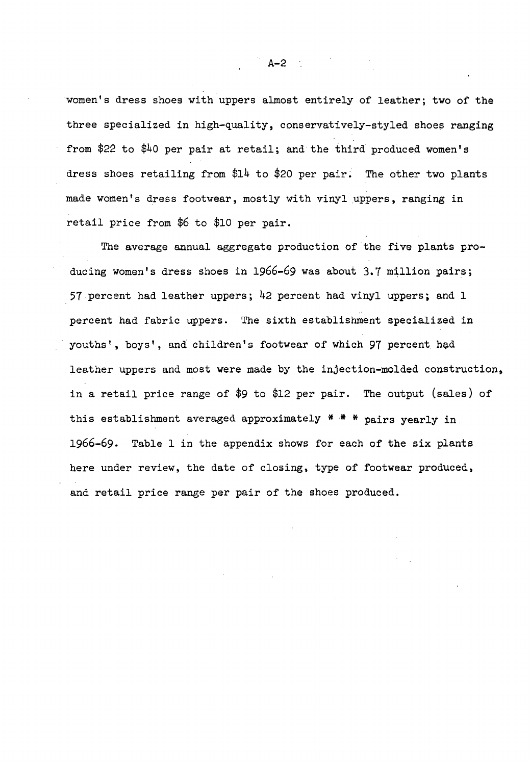women's dress shoes with uppers almost entirely of leather; two of the three specialized in high-quality, conservatively-styled shoes ranging from \$22 to \$40 per pair at retail; and the third produced women's dress shoes retailing from  $$14$  to \$20 per pair. The other two plants made women's dress footwear, mostly with vinyl uppers, ranging in retail price from \$6 to \$10 per pair.

The average annual aggregate production of the five plants producing women's dress shoes in 1966-69 was about 3.7 million pairs; 57 percent had leather uppers;  $42$  percent had vinyl uppers; and l percent had fabric uppers. The sixth establishment specialized in youths', boys', and children's footwear of which 97 percent had leather uppers and most were made by the injection-molded construction, in a retail price range of \$9 to \$12 per pair. The output (sales) of this establishment averaged approximately  $* * *$  pairs yearly in 1966-69. Table 1 in the appendix shows for each of the six plants here under review, the date of closing, type of footwear produced, and retail price range per pair of the shoes produced.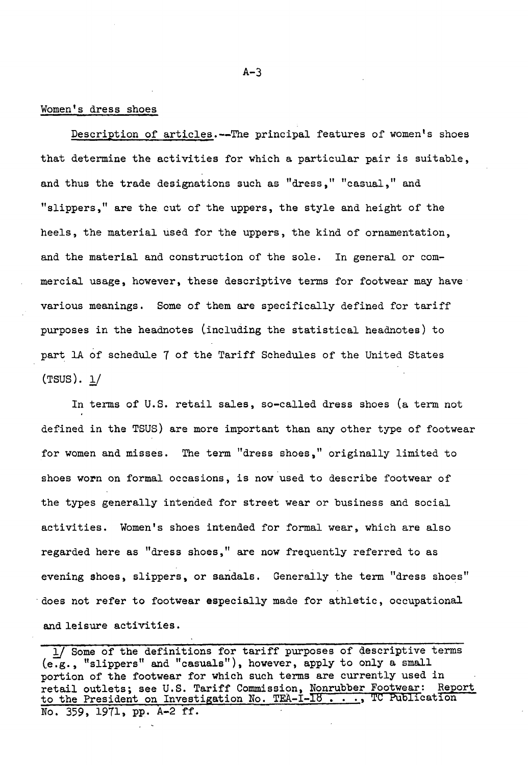Women's dress shoes

Description of articles.--The principal features of women's shoes that determine the activities for which a particular pair is suitable, and thus the trade designations such as "dress," "casual," and "slippers," are the cut of the uppers, the style and height of the heels, the material used for the uppers, the kind of ornamentation, and the material and construction of the sole. In general or commercial usage, however, these descriptive terms for footwear may have various meanings. Some of them are specifically defined for tariff purposes in the headnotes (including the statistical headnotes) to part lA of schedule 1 of the Tariff Schedules of the United States  $(TSUS)$ .  $1/$ 

In terms of U.S. retail sales, so-called dress shoes (a term not defined in the TSUS) are more important than any other type of footwear for women and misses. The term "dress shoes," originally limited to shoes worn on formal occasions, is now used to describe footwear of the types generally intended for street wear or business and social activities. Women's shoes intended for formal wear, which are also regarded here as "dress shoes," are now frequently referred to as evening shoes, slippers, or sandals. Generally the term "dress shoes" does not refer to footwear especially made for athletic, occupational and leisure activities.

1/ Some of the definitions for tariff purposes of descriptive terms (e.g., "slippers" and "casuals"), however, apply to only a small portion of the footwear for which such terms are currently used in retail outlets; see U.S. Tariff Commission, Nonrubber Footwear: Report to the President on Investigation No. TEA-I-18..., TC Publication No. 359, 1971, pp. A-2 ff.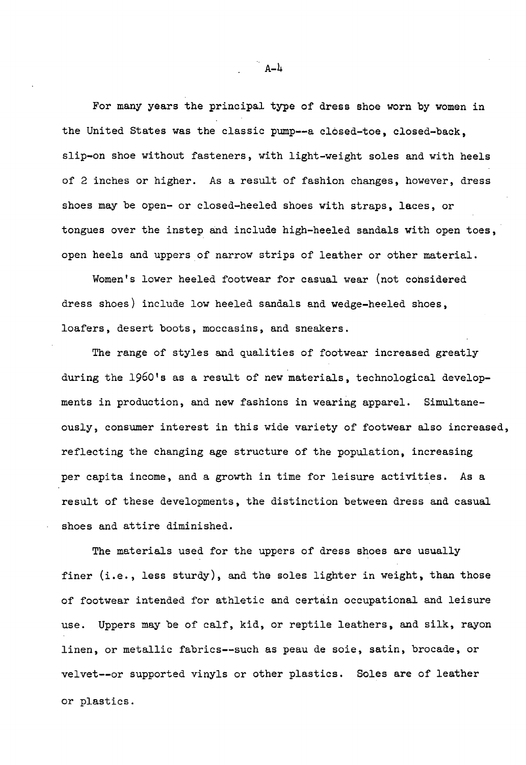For many years the principal type of dress shoe worn by women in the United States was the classic pump--a closed-toe, closed-back, slip-on shoe without fasteners, with light-weight soles and with heels of 2 inches or higher. As a result of fashion changes, however, dress shoes may be open- or closed-heeled shoes with straps, laces, or tongues over the instep and include high-heeled sandals with open toes, open heels and uppers of narrow strips of leather or other material.

Women's lower heeled footwear for casual wear (not considered dress shoes) include low heeled sandals and wedge-heeled shoes, loafers, desert boots, moccasins, and sneakers.

The range of styles and qualities of footwear increased greatly during the 1960's as a result of new materials, technological developments in production, and new fashions in wearing apparel. Simultaneously, consumer interest in this wide variety of footwear also increased, reflecting the changing age structure of the population, increasing per capita income, and a growth in time for leisure activities. As a result of these developments, the distinction between dress and casual shoes and attire diminished.

The materials used for the uppers of dress shoes are usually finer (i.e., less sturdy), and the soles lighter in weight, than those of footwear intended for athletic and certain occupational and leisure use. Uppers may be of calf, kid, or reptile leathers, and silk, rayon linen, or metallic fabrics--such as peau de soie, satin, brocade, or velvet--or supported vinyls or other plastics. Soles are of leather or plastics.

 $A - L$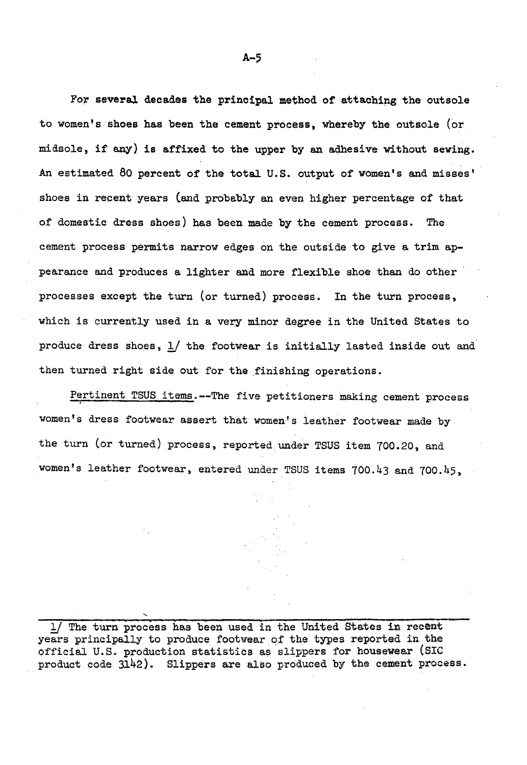For several decades the principal method of attaching the outsole to women's shoes has been the cement process, whereby the outsole (or midsole, if any) is affixed to the upper by an adhesive without sewing. An estimated 80 percent of the total U.S. output of women's and misses' shoes in recent years (and probably an even higher percentage of that of domestic dress shoes) has been made by the cement process. The cement process permits narrow edges on the outside to give a trim appearance and produces a lighter and more flexible shoe than do other processes except the turn (or turned) process. In the turn process, which is currently used in a very minor degree in the United States to produce dress shoes,  $1/$  the footwear is initially lasted inside out and then turned right side out for the finishing operations.

Pertinent TSUS items.--The five petitioners making cement process women's dress footwear assert that women's leather footwear made by the turn (or turned) process, reported under TSUS item 700.20, and women's leather footwear, entered under TSUS items 700.43 and 700.45,

The turn process has been used in the United States in recent years principally to produce footwear of the types reported in the official U.S. production statistics as slippers for housewear (SIC product code 3142). Slippers are also produced by the cement process.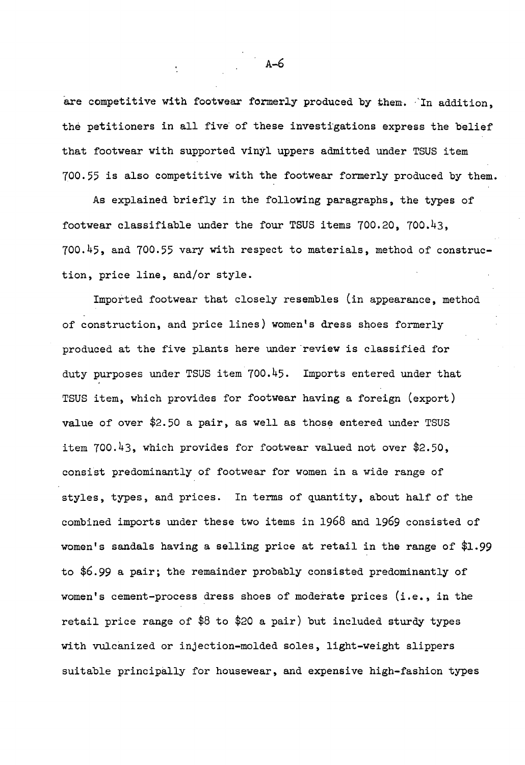are competitive with footwear formerly produced by them. In addition, the petitioners in all five of these investigations express the belief that footwear with supported vinyl uppers admitted under TSUS item 700.55 is also competitive with the footwear formerly produced by them.

As explained briefly in the following paragraphs, the types of footwear classifiable under the four TSUS items 700.20, 700.43, 700.45, and 700.55 vary with respect to materials, method of construction, price line, and/or style.

Imported footwear that closely resembles (in appearance, method of construction, and price lines) women's dress shoes formerly produced at the five plants here under review is classified for duty purposes under TSUS item 700.45. Imports entered under that TSUS item, which provides for footwear having a foreign (export) value of over \$2.50 a pair, as well as those entered under TSUS item 700.43, which provides for footwear valued not over  $2.50$ , consist predominantly of footwear for women in a wide range of styles, types, and prices. In terms of quantity, about half of the combined imports under these two items in 1968 and 1969 consisted of women's sandals having a selling price at retail in the range of \$1.99 to \$6.99 a pair; the remainder probably consisted predominantly of women's cement-process dress shoes of moderate prices (i.e., in the retail price range of \$8 to \$20 a pair) but included sturdy types with vulcanized or injection-molded soles, light-weight slippers suitable principally for housewear, and expensive high-fashion types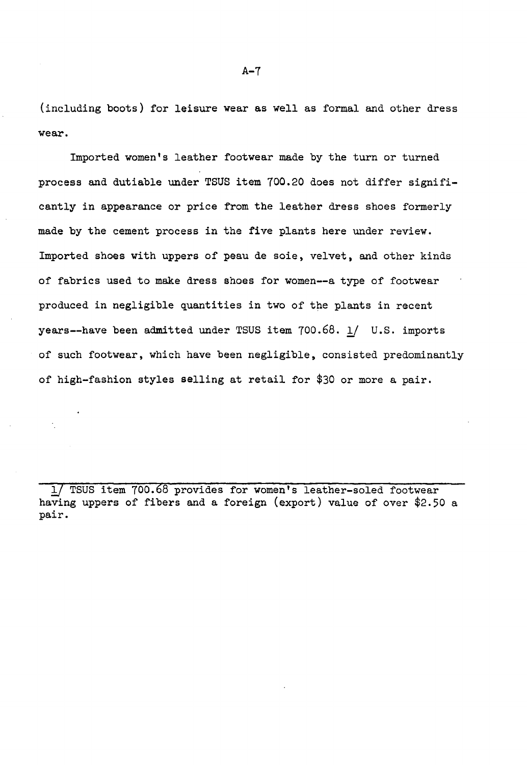(including boots) for leisure wear as well as formal and other dress wear.

Imported women's leather footwear made by the turn or turned process and dutiable under TSUS item 700.20 does not differ significantly in appearance or price from the leather dress shoes formerly made by the cement process in the five plants here under review. Imported shoes with uppers of peau de soie, velvet, and other kinds of fabrics used to make dress shoes for women--a type of footwear produced in negligible quantities in two of the plants in recent years--have been admitted under TSUS item 700.68. 1/ U.S. imports of such footwear, which have been negligible, consisted predominantly of high-fashion styles selling at retail for \$30 or more a pair.

1/ TSUS item 700.68 provides for women's leather-soled footwear having uppers of fibers and a foreign (export) value of over \$2.50 a pair.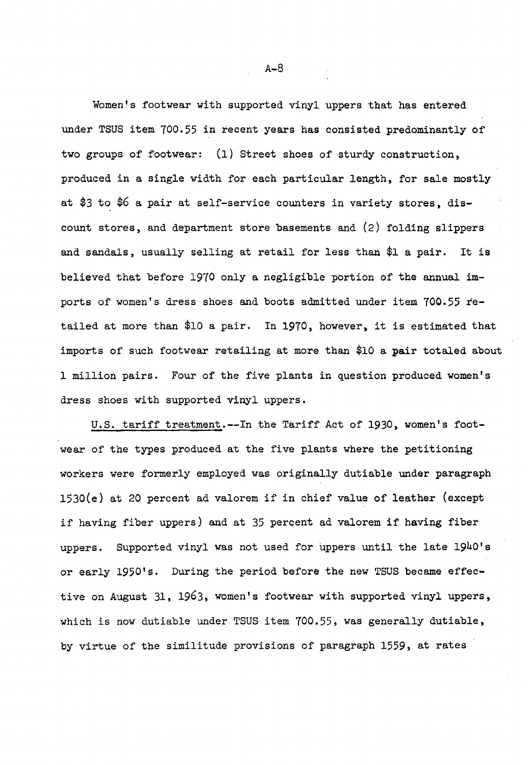Women's footwear with supported vinyl uppers that has entered under TSUS item 700.55 in recent years has consisted predominantly of two groups of footwear: (1) Street shoes of sturdy construction, produced in a single width for each particular length, for sale mostly at \$3 to \$6 a pair at self-service counters in variety stores, discount stores, and department store basements and (2) folding slippers and sandals, usually selling at retail for less than \$1 a pair. It is believed that before 1970 only a negligible portion of the annual imports of women's dress shoes and boots admitted under item 700.55 retailed at more than \$10 a pair. In 1970, however, it is estimated that imports of such footwear retailing at more than \$10 a pair totaled about 1 million pairs. Four of the five plants in question produced women's dress shoes with supported vinyl uppers.

U.S. tariff treatment.--In the Tariff Act of 1930, women's footwear of the types produced at the five plants where the petitioning workers were formerly employed was originally dutiable under paragraph 1530(e) at 20 percent ad valorem if in chief value of leather (except if having fiber uppers) and at 35 percent ad valorem if having fiber uppers. Supported vinyl was not used for uppers until the late 1940's or early 1950's. During the period before the new TSUS became effective on August 31, 1963, women's footwear with supported vinyl uppers, which is now dutiable under TSUS item 700.55, was generally dutiable, by virtue of the similitude provisions of paragraph 1559, at rates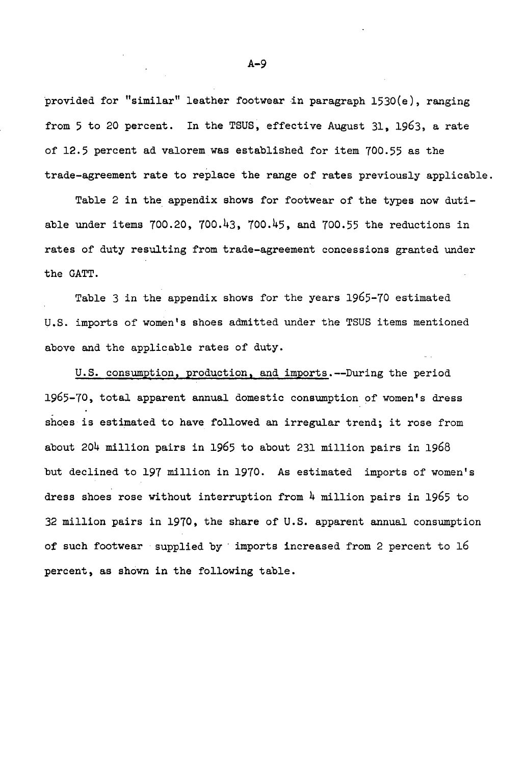·provided for "similar" leather footwear in paragraph 1530(e), ranging from 5 to 20 percent. In the TSUS, effective August 31, 1963, a rate of 12.5 percent ad valorem was established for item 700.55 as the trade-agreement rate to replace the range of rates previously applicable.

Table 2 in the appendix shows for footwear of the types now dutiable under items 700.20, 700.43, 700.45, and 700.55 the reductions in rates of duty resulting from trade-agreement concessions granted under the GATT.

Table 3 in the appendix shows for the years 1965-70 estimated U.S. imports of women's shoes admitted under the TSUS items mentioned above and the applicable rates of duty.

U.S. consumption, production, and imports.--During the period 1965-70, total apparent annual domestic consumption of women's dress shoes is estimated to have followed an irregular trend; it rose from about 204 million pairs in 1965 to about 231 million pairs in 1968 but declined to 197 million in 1970. As estimated imports of women's dress shoes rose without interruption from  $4$  million pairs in 1965 to 32 million pairs in 1970, the share of U.S. apparent annual consumption of such footwear supplied by · imports increased from 2 percent to 16 percent, as shown in the following table.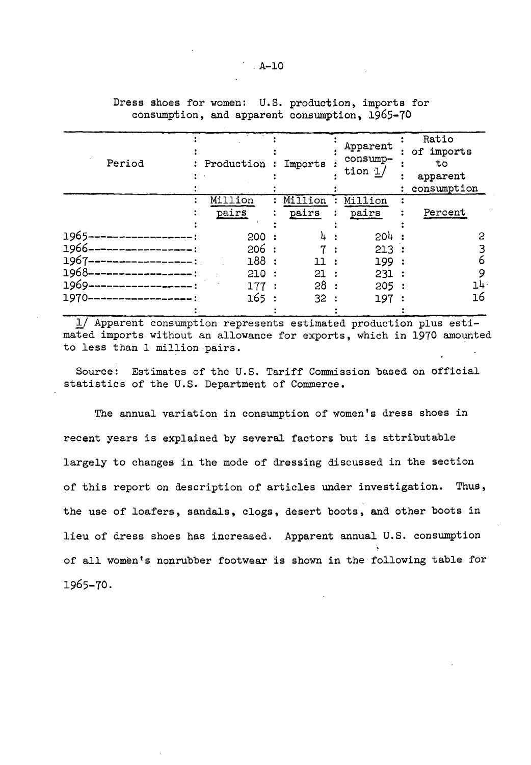| Period                                | Production |                | Imports | Apparent<br>consump-<br>tion $1/$ | Ratio<br>of imports<br>to<br>apparent<br>consumption |
|---------------------------------------|------------|----------------|---------|-----------------------------------|------------------------------------------------------|
|                                       | Million    |                | Million | Million                           |                                                      |
|                                       | pairs      |                | pairs   | pairs                             | Percent                                              |
|                                       |            |                |         |                                   |                                                      |
| 1965------------------                | 200        |                | 4       | 204                               | 2.                                                   |
| 1966----------------                  | 206:       |                |         | 213:                              |                                                      |
| 1967--                                | 188 :      |                | ן ך     | 199:                              |                                                      |
| 1968--                                | 210        | $\ddot{\cdot}$ | 21:     | 231:                              |                                                      |
| 1969---                               |            |                | 28:     | 205:                              |                                                      |
| 1970–<br>---------------------------- | 165        |                | 32:     | 197:                              | 16                                                   |
|                                       |            |                |         |                                   |                                                      |

Dress shoes for women: U.S. production, imports for consumption, and apparent consumption, 1965-70

1./ Apparent consumption represents estimated production plus estimated imports without an allowance for exports, which in 1970 amounted to less than 1 million·pairs.

Source: Estimates of the U.S. Tariff Commission based on official statistics of the U.S. Department of Commerce.

The annual variation in consumption of women's dress shoes in recent years is eXplained by several factors but is attributable largely to changes in the mode of dressing discussed in the section of this report on description of articles under investigation. Thus, the use of loafers, sandals, clogs, desert boots, and other boots in lieu of dress shoes has increased. Apparent annual U.S. consumption of all women's nonrubber footwear is shown in the following table for 1965-70.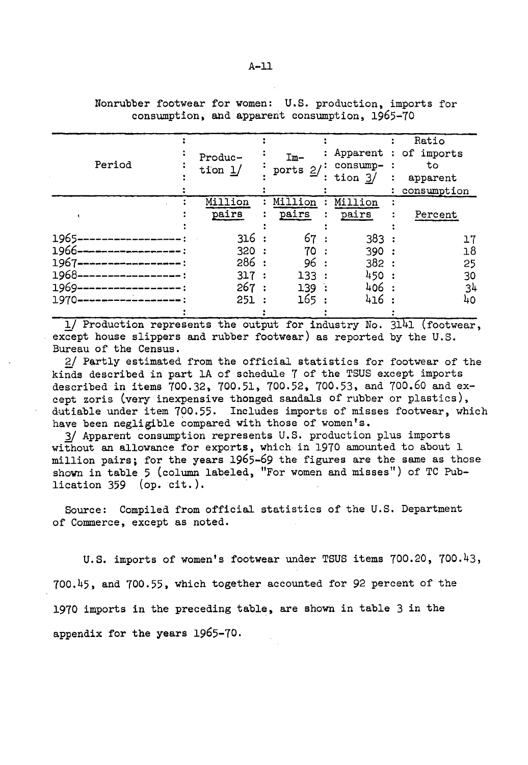Nonrubber footwear for women: U.S. production, imports for consumption, and apparent consumption, 1965-70

| Period         | Produc-<br>tion $1/$ |                | Im-<br>ports 2/ |                | Apparent<br>consump-<br>tion $3/$ | $\bullet$ | Ratio<br>: of imports<br>to<br>apparent |
|----------------|----------------------|----------------|-----------------|----------------|-----------------------------------|-----------|-----------------------------------------|
|                |                      |                |                 |                |                                   |           | : consumption                           |
|                | Million              |                | Million         | $\ddot{\cdot}$ | Million                           |           |                                         |
|                | <u>pairs</u>         |                | pairs           | ÷              | pairs                             |           | Percent                                 |
|                |                      |                |                 |                |                                   |           |                                         |
| 1965.          | 316:                 |                | 67              |                | 383:                              |           | 17                                      |
| $1966 -$       | 320                  | $\ddot{\cdot}$ | 70              |                | 390 :                             |           | 18                                      |
| 1967-          | 286:                 |                | 96 :            |                | 382:                              |           | 25                                      |
| 1968-          | 317:                 |                | 133:            |                | 450 :                             |           | 30                                      |
| 1969-          | 267                  |                | 139:            |                | 406 :                             |           | 34                                      |
| 1970 --------- | 251                  | $\cdot$        | 165 -           |                | 416 :                             |           | 40                                      |
|                |                      |                |                 |                |                                   |           |                                         |

1/ Production represents the output for industry No. 3141 (footwear, except house slippers and rubber footwear) as reported by the U.S. Bureau of the Census.

2/ Partly estimated from the official statistics for footwear of the kinds described in part lA of schedule 7 of the TSUS except imports described in items 700.32, 700.51, 700.52, 700.53, and 700.60 and except zoris (very inexpensive thonged sandals of rubber or plastics), dutiable under item 700.55. Includes imports of misses footwear, which have been negligible compared with those of women's.

*di* Apparent consumption represents U.S. production plus imports without an allowance for exports, which in 1970 amounted to about l million pairs; for the years 1965-69 the figures are the same as those shown in table 5 (column labeled, "For women and misses") of TC Publication 359 (op. cit.).

Source: Compiled from official statistics of the U.S. Department of Commerce, except as noted.

U.S. imports of women's footwear under TSUS items 700.20, 700.43, 700.45, and 700.55, which together accounted for 92 percent of the 1970 imports in the preceding table, are shown in table 3 in the appendix for the years 1965-70.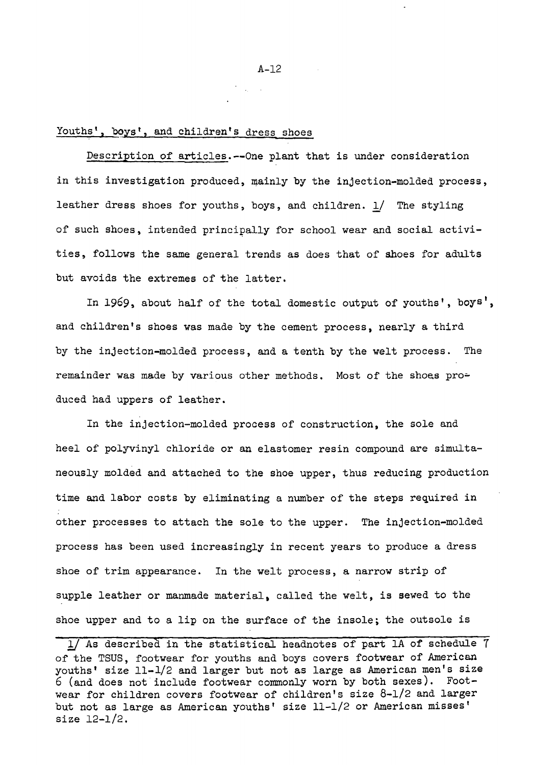## Youths', boys', and children's dress shoes

Description of articles.--One plant that is under consideration in this investigation produced, mainly by the injection-molded process, leather dress shoes for youths, boys, and children. 1/ The styling of such shoes, intended principally for school wear and social activities, follows the same general trends as does that of ahoes for adults but avoids the extremes of the latter.

In 1969, about half of the total domestic output of youths', boys', and children's shoes was made by the cement process, nearly a third by the injection-molded process, and a tenth by the welt process. The remainder was made by various other methods. Most of the shoes pro~ duced had uppers of leather.

In the injection-molded process of construction, the sole and heel of polyvinyl chloride or an elastomer resin compound are simultaneously molded and attached to the shoe upper, thus reducing production time and labor costs by eliminating a number of the steps required in other processes to attach the sole to the upper. The injection-molded process has been used increasingly in recent years to produce a dress shoe of trim appearance. In the welt process, a narrow strip of supple leather or manmade material, called the welt, is sewed to the shoe upper and to a lip on the surface of the insole; the outsole is

A-12

 $\mathcal{A}_1$  ,  $\mathcal{A}_2$ 

*JJ* As described in the statistical headnotes of part lA of schedule 7 of the TSUS, footwear for youths and boys covers footwear of American youths' size 11-1/2 and larger but not as large as American men's size 6 (and does not include footwear commonly worn by both sexes). Footwear for children covers footwear of children's size 8-1/2 and larger but not as large as American youths' size 11-1/2 or American misses' size 12-1/2.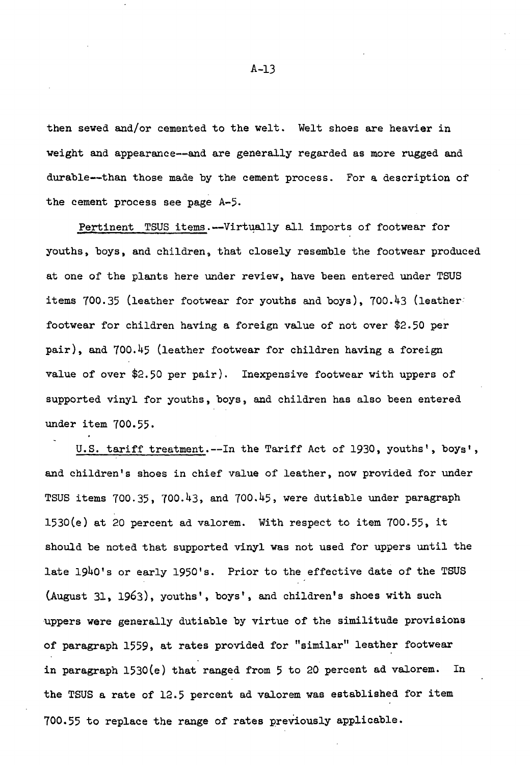then sewed and/or cemented to the welt. Welt shoes are heavier in weight and appearance--and are generally regarded as more rugged and durable--than those made by the cement process. For a description of the cement process see page A-5.

Pertinent TSUS items.--Virtually all imports of footwear for youths, boys, and children, that closely resemble the footwear produced at one of the plants here under review, have been entered under TSUS items 700.35 (leather footwear for youths and boys), 700.43 (leather footwear for children having a foreign value of not over \$2.50 per pair), and 700.45 (leather footwear for children having a foreign value of over \$2.50 per pair). Inexpensive footwear with uppers of supported vinyl for youths, boys, and children has also been entered under item 700.55.

U.S. tariff treatment.--In the Tariff Act of 1930, youths', boys', and children's shoes in chief value of leather, now provided for under TSUS items  $700.35$ ,  $700.43$ , and  $700.45$ , were dutiable under paragraph 1530(e) at 20 percent ad valorem. With respect to item 700.55, it should be noted that supported vinyl was not used for uppers until the late 1940's or early 1950's. Prior to the effective date of the TSUS (August 31, 1963), youths', boys', and children's shoes with such uppers were generally dutiable by virtue of the similitude provisions of paragraph 1559, at rates provided for "similar" leather footwear in paragraph 1530(e) that ranged from 5 to 20 percent ad valorem. In the TSUS a rate of 12.5 percent ad valorem was established for item 700.55 to replace the range of rates previously applicable.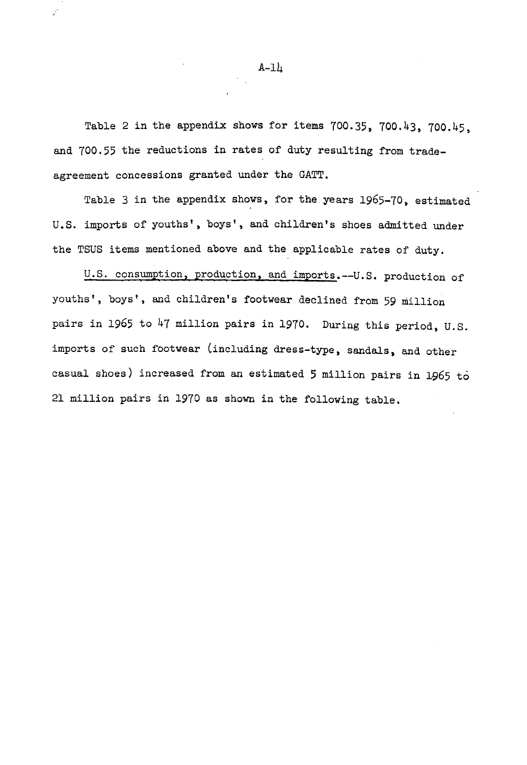Table 2 in the appendix shows for items 700.35, 700.43, 700.45, and 700.55 the reductions in rates of duty resulting from tradeagreement concessions granted under the GATT.

Table 3 in the appendix shows, for the years 1965-70, estimated U.S. imports of youths', boys', and children's shoes admitted under the TSUS items mentioned above and the applicable rates of duty.

U.S. consumption, production, and imports.--U.S. production of youths', boys', and children's footwear declined from 59 million pairs in 1965 to 47 million pairs in 1970. During this period, U.S. imports of such footwear (including dress-type, sandals, and other casual shoes) increased from an estimated 5 million pairs in 1965 to 21 million pairs in 1970 as shown in the following table.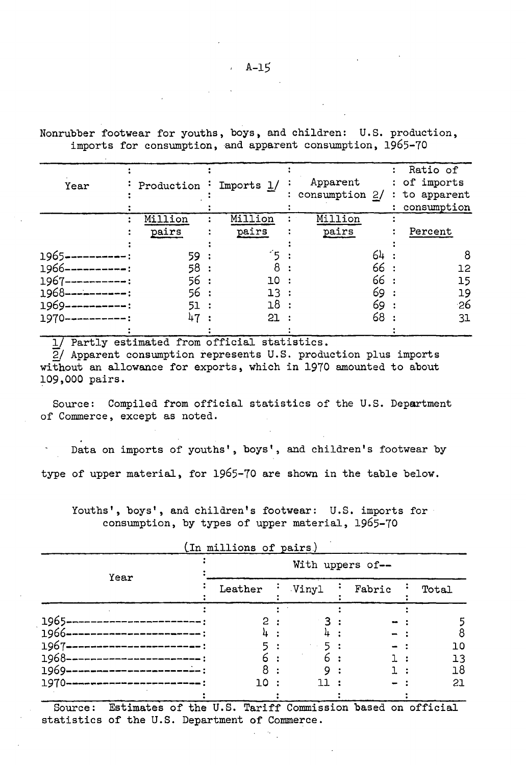| Year                | : Production | ÷ | Imports 1/ | Apparent<br>consumption 2/ |      | Ratio of<br>: of imports<br>to apparent<br>consumption |
|---------------------|--------------|---|------------|----------------------------|------|--------------------------------------------------------|
|                     | Million      |   | Million    | Million                    |      |                                                        |
|                     | pairs        |   | pairs      | pairs                      |      | Percent                                                |
|                     |              |   |            |                            |      |                                                        |
| 1965----------      | 59.          |   |            |                            | 64   | 8                                                      |
| $1966$ -----------: | 58           |   | 8          |                            | 66 : | 12                                                     |
| $1967$ -----------: | 56 :         |   | 10         |                            | 66 : | 15                                                     |
| $1968$ -----------: | 56 :         |   | 13         |                            | 69 : | 19                                                     |
| 1969-----------     | 51           |   | 18         |                            | 69 : | 26                                                     |
| 1970-----------:    | 47           |   | 21 :       |                            | 68   | 31                                                     |
|                     |              |   |            |                            |      |                                                        |

Nonrubber footwear for youths, boys, and children: U.S. production, imports for consumption, and apparent consumption, 1965-70

1/ Partly estimated from official statistics.

2/ Apparent consumption represents U.S. production plus imports without an allowance for exports, which in 1970 amounted to about 109,000 pairs.

Source: Compiled from official statistics of the U.S. Department of Commerce, except as noted.

Data on imports of youths', boys', and children's footwear by type of upper material, for 1965-70 are shown in the table below.

Youths', boys', and children's footwear: U.S. imports for consumption, by types of upper material, 1965-70

|                                                                                                                                                                     | With uppers of-- |  |       |  |        |  |                      |  |  |  |
|---------------------------------------------------------------------------------------------------------------------------------------------------------------------|------------------|--|-------|--|--------|--|----------------------|--|--|--|
| Year                                                                                                                                                                | Leather          |  | Vinyl |  | Fabric |  | Total                |  |  |  |
| 1965--<br>1966-----------------------<br>1967-----------------------<br>1968------------------------<br>1969-----------------------<br>1970------------<br>-------- | 2<br>я<br>10     |  | 11    |  |        |  | 10<br>13<br>18<br>21 |  |  |  |

 $(In millime of main)$ 

Source: Estimates of the U.S. Tariff Commission based on official statistics of the U.S. Department of Commerce.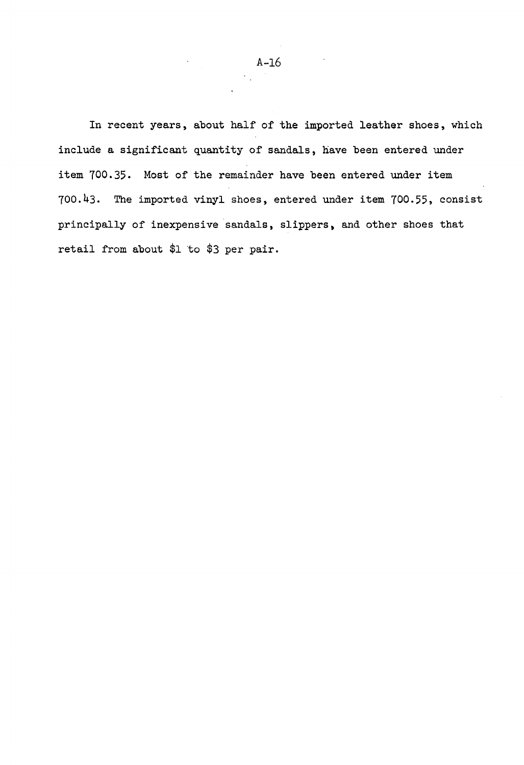In recent years, about half of the imported leather shoes, which include a significant quantity of sandals, have been entered under item 700.35. Most of the remainder have been entered under item 700.43. The imported vinyl shoes, entered under item 700.55, consist principally of inexpensive sandals, slippers, and other shoes that retail from about \$1 to \$3 per pair.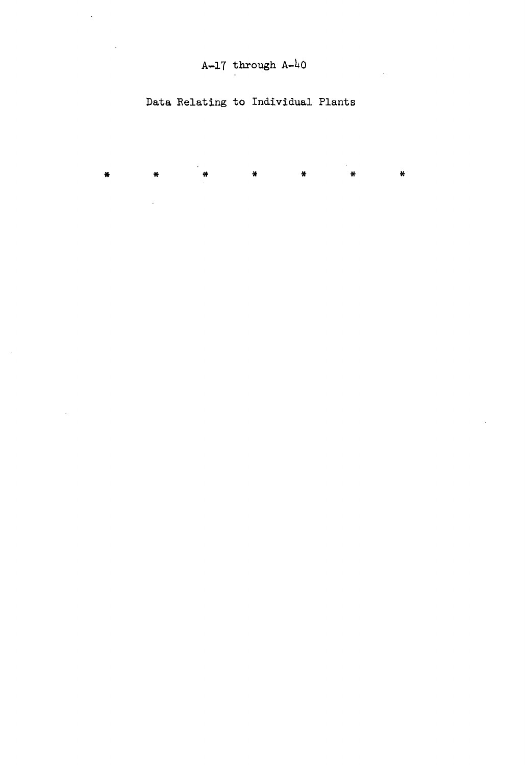# A-17 through A-40

 $\mathcal{L}_{\rm{max}}$ 

 $\bar{\beta}$ 

 $\sim$ 

 $\sim$ 

 $\sim 10$ 

Data Relating to Individual Plants

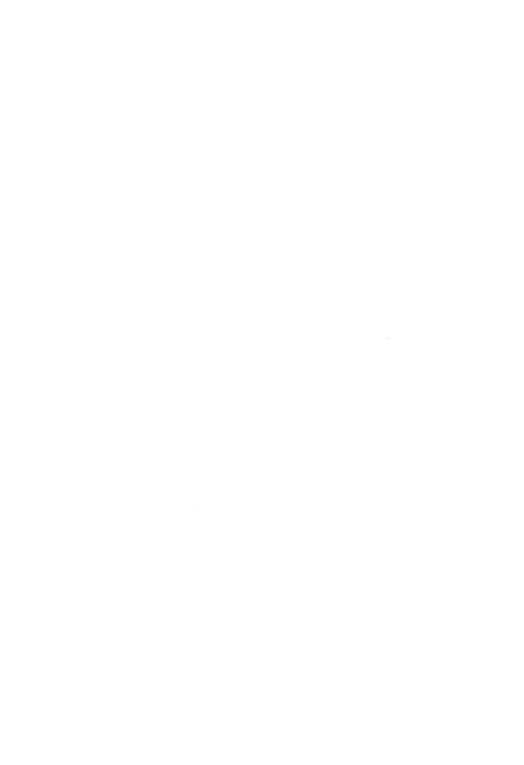$\label{eq:2.1} \frac{1}{\sqrt{2}}\left(\frac{1}{\sqrt{2}}\right)^{2} \left(\frac{1}{\sqrt{2}}\right)^{2} \left(\frac{1}{\sqrt{2}}\right)^{2} \left(\frac{1}{\sqrt{2}}\right)^{2} \left(\frac{1}{\sqrt{2}}\right)^{2} \left(\frac{1}{\sqrt{2}}\right)^{2} \left(\frac{1}{\sqrt{2}}\right)^{2} \left(\frac{1}{\sqrt{2}}\right)^{2} \left(\frac{1}{\sqrt{2}}\right)^{2} \left(\frac{1}{\sqrt{2}}\right)^{2} \left(\frac{1}{\sqrt{2}}\right)^{2} \left(\$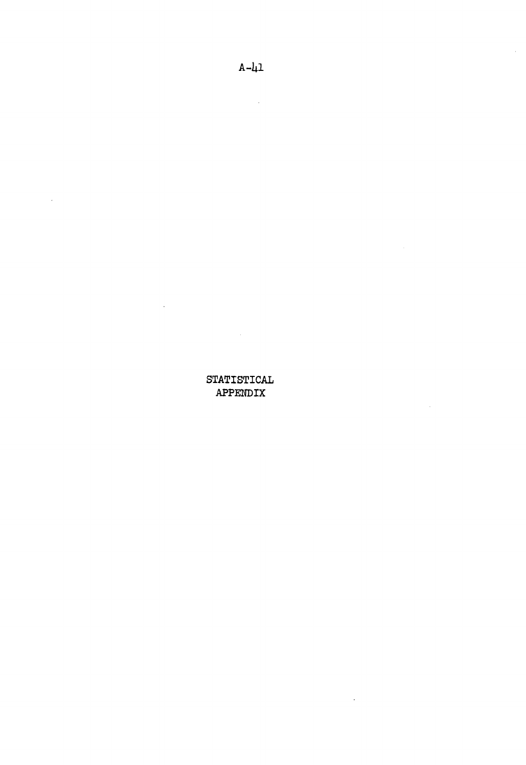STATISTICAL APPENDIX

 $\sim 10$ 

 $\bar{z}$ 

 $\hat{\mathcal{A}}$ 

 $\bar{z}$ 

 $\sim 10$ 

 $\sim 10$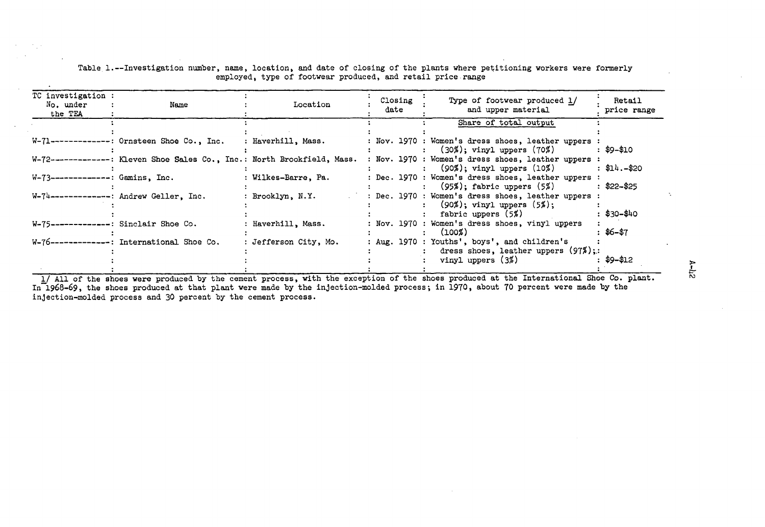| TC investigation :<br>No. under<br>the TEA | Name                                                                    | Location              | Closing<br>date | Type of footwear produced 1/<br>and upper material                                                             | <b>Retail</b><br>price range |
|--------------------------------------------|-------------------------------------------------------------------------|-----------------------|-----------------|----------------------------------------------------------------------------------------------------------------|------------------------------|
|                                            |                                                                         |                       |                 | Share of total output                                                                                          |                              |
|                                            | W-71-------------: Ornsteen Shoe Co., Inc.                              | : Haverhill, Mass.    |                 | : Nov. 1970 : Women's dress shoes, leather uppers<br>: $(30\%)$ ; vinyl uppers $(70\%)$                        | : \$9-\$10                   |
|                                            | W-72-------------: Kleven Shoe Sales Co., Inc.: North Brookfield, Mass. |                       |                 | : Nov. 1970 : Women's dress shoes, leather uppers<br>: (90%); vinyl uppers (10%)                               | : \$14.-\$20                 |
| W-73--------------: Gamins, Inc.           |                                                                         | : Wilkes-Barre, Pa.   |                 | : Dec. 1970 : Women's dress shoes, leather uppers<br>: $(95%)$ ; fabric uppers $(5%)$                          | $\div$ \$22-\$25             |
|                                            | W-74--------------: Andrew Geller, Inc.                                 | : Brooklyn, N.Y.      |                 | : Dec. 1970 : Women's dress shoes, leather uppers<br>: $(90\%)$ ; vinyl uppers $(5\%)$ ;<br>fabric uppers (5%) | $:$ \$30-\$40                |
|                                            | W-75--------------: Sinclair Shoe Co.                                   | : Haverhill, Mass.    |                 | : Nov. 1970 : Women's dress shoes, vinyl uppers<br>(100%)                                                      | : \$6-\$7                    |
|                                            | W-76--------------: International Shoe Co.                              | : Jefferson City, Mo. |                 | : Aug. 1970 : Youths', boys', and children's<br>dress shoes, leather uppers $(97%)$ ;<br>vinyl uppers (3%)     | \$9-\$12                     |

#### Table 1.--Investigation number, name, location, and date of closing of the plants where petitioning workers were formerly employed, type of footwear produced, and retail price range

l/ All of the shoes were produced by the cement process, with the exception of the shoes produced at the International Shoe Co. plant. In 1968-69, the shoes produced at that plant were made by the injection-molded process; in 1970, about 70 percent were made by the injection-molded process and 30 percent by the cement process.

 $\epsilon$